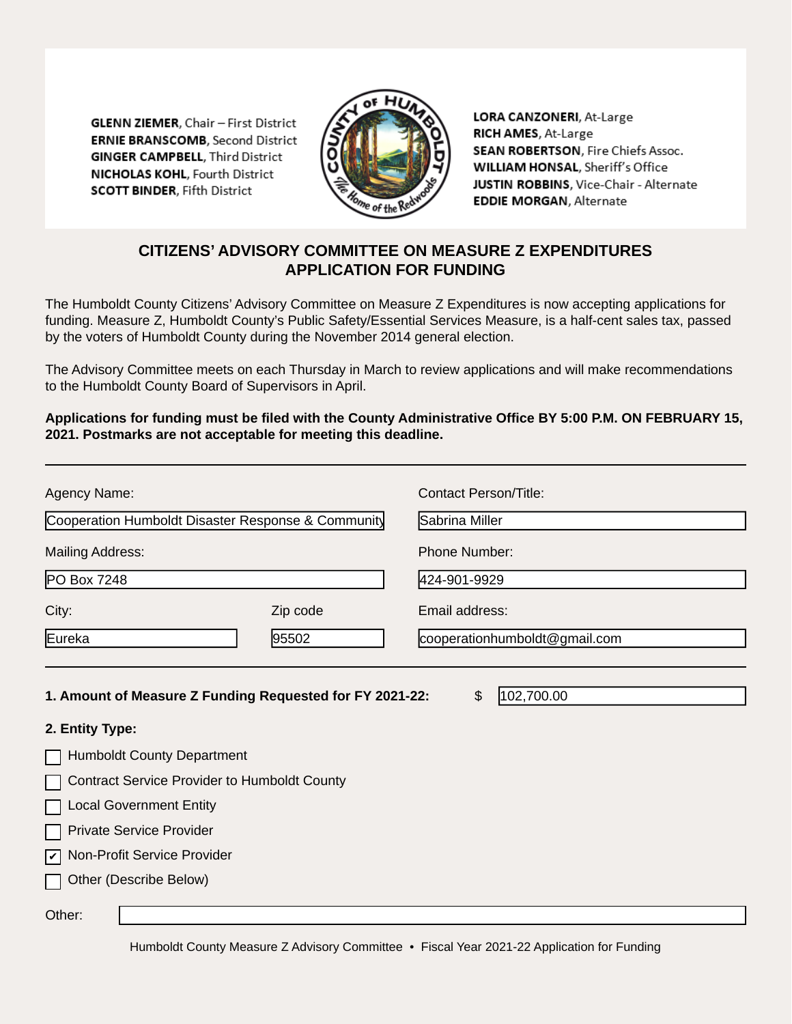**GLENN ZIEMER, Chair - First District ERNIE BRANSCOMB.** Second District **GINGER CAMPBELL, Third District NICHOLAS KOHL, Fourth District SCOTT BINDER, Fifth District** 



LORA CANZONERI, At-Large RICH AMES, At-Large SEAN ROBERTSON, Fire Chiefs Assoc. WILLIAM HONSAL, Sheriff's Office JUSTIN ROBBINS, Vice-Chair - Alternate **EDDIE MORGAN, Alternate** 

# **CITIZENS' ADVISORY COMMITTEE ON MEASURE Z EXPENDITURES APPLICATION FOR FUNDING**

The Humboldt County Citizens' Advisory Committee on Measure Z Expenditures is now accepting applications for funding. Measure Z, Humboldt County's Public Safety/Essential Services Measure, is a half-cent sales tax, passed by the voters of Humboldt County during the November 2014 general election.

The Advisory Committee meets on each Thursday in March to review applications and will make recommendations to the Humboldt County Board of Supervisors in April.

**Applications for funding must be filed with the County Administrative Office BY 5:00 P.M. ON FEBRUARY 15, 2021. Postmarks are not acceptable for meeting this deadline.**

| Agency Name:                                                                                                             |          | Contact Person/Title:         |  |  |
|--------------------------------------------------------------------------------------------------------------------------|----------|-------------------------------|--|--|
| Cooperation Humboldt Disaster Response & Community                                                                       |          | Sabrina Miller                |  |  |
| <b>Mailing Address:</b>                                                                                                  |          | <b>Phone Number:</b>          |  |  |
| PO Box 7248                                                                                                              |          | 424-901-9929                  |  |  |
| City:                                                                                                                    | Zip code | Email address:                |  |  |
| Eureka                                                                                                                   | 95502    | cooperationhumboldt@gmail.com |  |  |
| 2. Entity Type:                                                                                                          |          |                               |  |  |
| <b>Humboldt County Department</b>                                                                                        |          |                               |  |  |
| <b>Contract Service Provider to Humboldt County</b><br><b>Local Government Entity</b><br><b>Private Service Provider</b> |          |                               |  |  |
| Mon-Profit Service Provider<br>Other (Describe Below)                                                                    |          |                               |  |  |

Humboldt County Measure Z Advisory Committee • Fiscal Year 2021-22 Application for Funding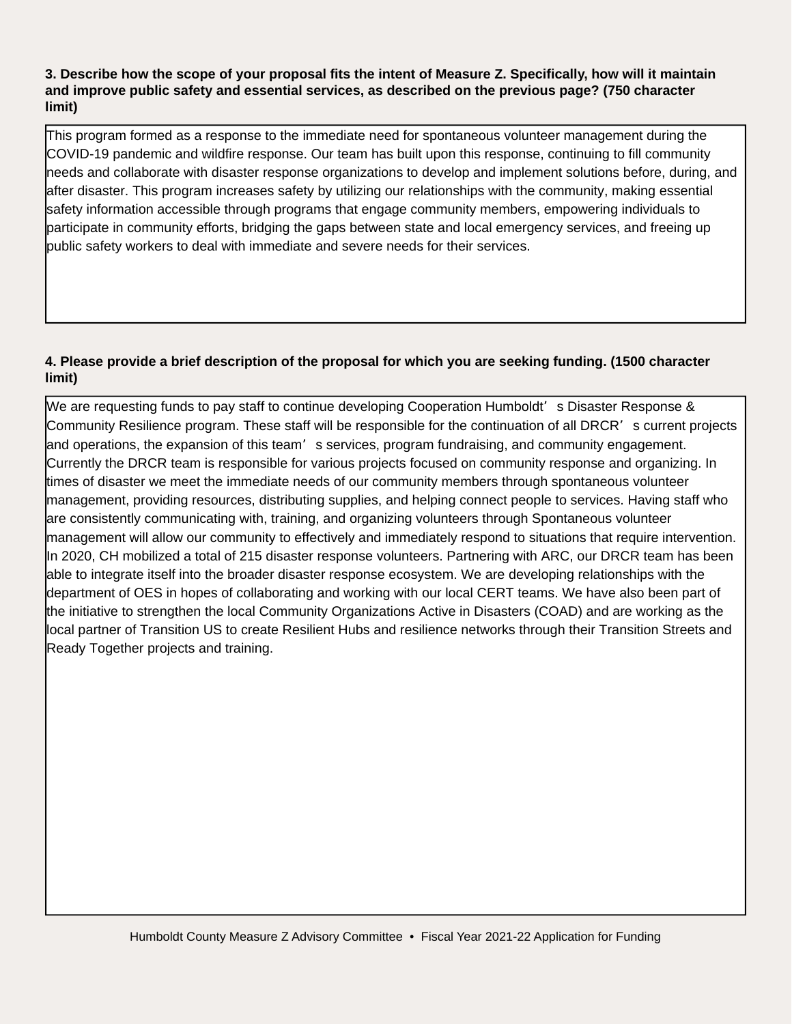#### **3. Describe how the scope of your proposal fits the intent of Measure Z. Specifically, how will it maintain and improve public safety and essential services, as described on the previous page? (750 character limit)**

This program formed as a response to the immediate need for spontaneous volunteer management during the COVID-19 pandemic and wildfire response. Our team has built upon this response, continuing to fill community needs and collaborate with disaster response organizations to develop and implement solutions before, during, and after disaster. This program increases safety by utilizing our relationships with the community, making essential safety information accessible through programs that engage community members, empowering individuals to participate in community efforts, bridging the gaps between state and local emergency services, and freeing up public safety workers to deal with immediate and severe needs for their services.

# **4. Please provide a brief description of the proposal for which you are seeking funding. (1500 character limit)**

We are requesting funds to pay staff to continue developing Cooperation Humboldt' s Disaster Response & Community Resilience program. These staff will be responsible for the continuation of all DRCR's current projects and operations, the expansion of this team's services, program fundraising, and community engagement. Currently the DRCR team is responsible for various projects focused on community response and organizing. In times of disaster we meet the immediate needs of our community members through spontaneous volunteer management, providing resources, distributing supplies, and helping connect people to services. Having staff who are consistently communicating with, training, and organizing volunteers through Spontaneous volunteer management will allow our community to effectively and immediately respond to situations that require intervention. In 2020, CH mobilized a total of 215 disaster response volunteers. Partnering with ARC, our DRCR team has been able to integrate itself into the broader disaster response ecosystem. We are developing relationships with the department of OES in hopes of collaborating and working with our local CERT teams. We have also been part of the initiative to strengthen the local Community Organizations Active in Disasters (COAD) and are working as the local partner of Transition US to create Resilient Hubs and resilience networks through their Transition Streets and Ready Together projects and training.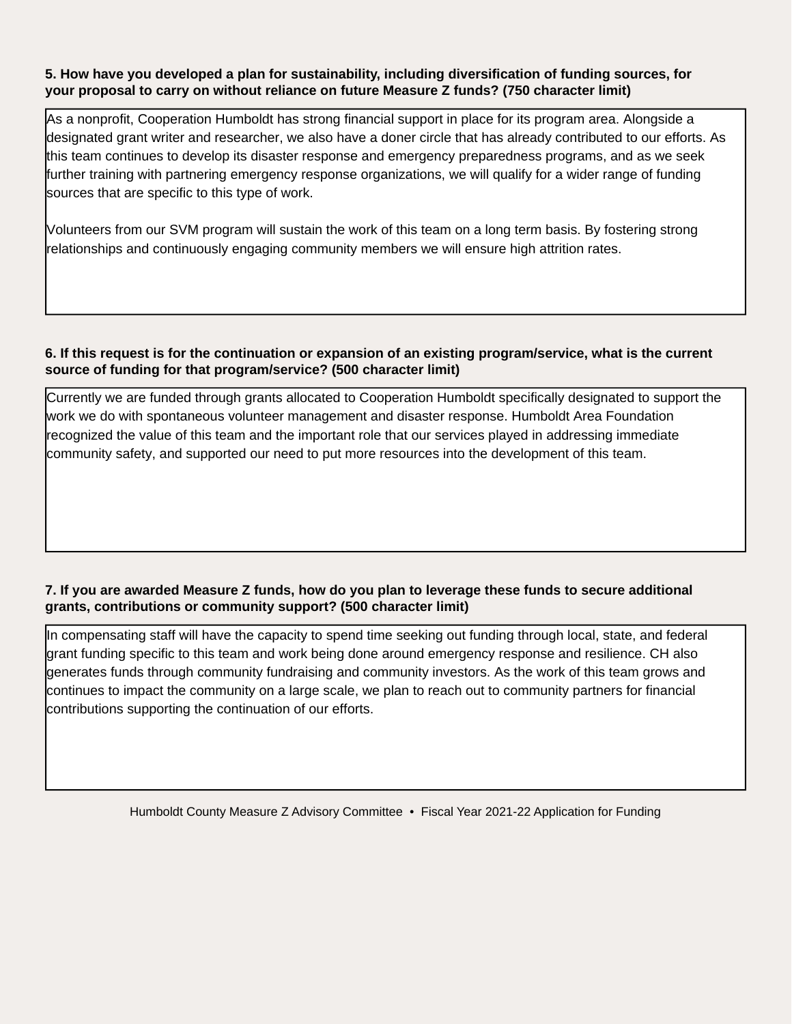#### **5. How have you developed a plan for sustainability, including diversification of funding sources, for your proposal to carry on without reliance on future Measure Z funds? (750 character limit)**

As a nonprofit, Cooperation Humboldt has strong financial support in place for its program area. Alongside a designated grant writer and researcher, we also have a doner circle that has already contributed to our efforts. As this team continues to develop its disaster response and emergency preparedness programs, and as we seek further training with partnering emergency response organizations, we will qualify for a wider range of funding sources that are specific to this type of work.

Volunteers from our SVM program will sustain the work of this team on a long term basis. By fostering strong relationships and continuously engaging community members we will ensure high attrition rates.

## **6. If this request is for the continuation or expansion of an existing program/service, what is the current source of funding for that program/service? (500 character limit)**

Currently we are funded through grants allocated to Cooperation Humboldt specifically designated to support the work we do with spontaneous volunteer management and disaster response. Humboldt Area Foundation recognized the value of this team and the important role that our services played in addressing immediate community safety, and supported our need to put more resources into the development of this team.

## **7. If you are awarded Measure Z funds, how do you plan to leverage these funds to secure additional grants, contributions or community support? (500 character limit)**

In compensating staff will have the capacity to spend time seeking out funding through local, state, and federal grant funding specific to this team and work being done around emergency response and resilience. CH also generates funds through community fundraising and community investors. As the work of this team grows and continues to impact the community on a large scale, we plan to reach out to community partners for financial contributions supporting the continuation of our efforts.

Humboldt County Measure Z Advisory Committee • Fiscal Year 2021-22 Application for Funding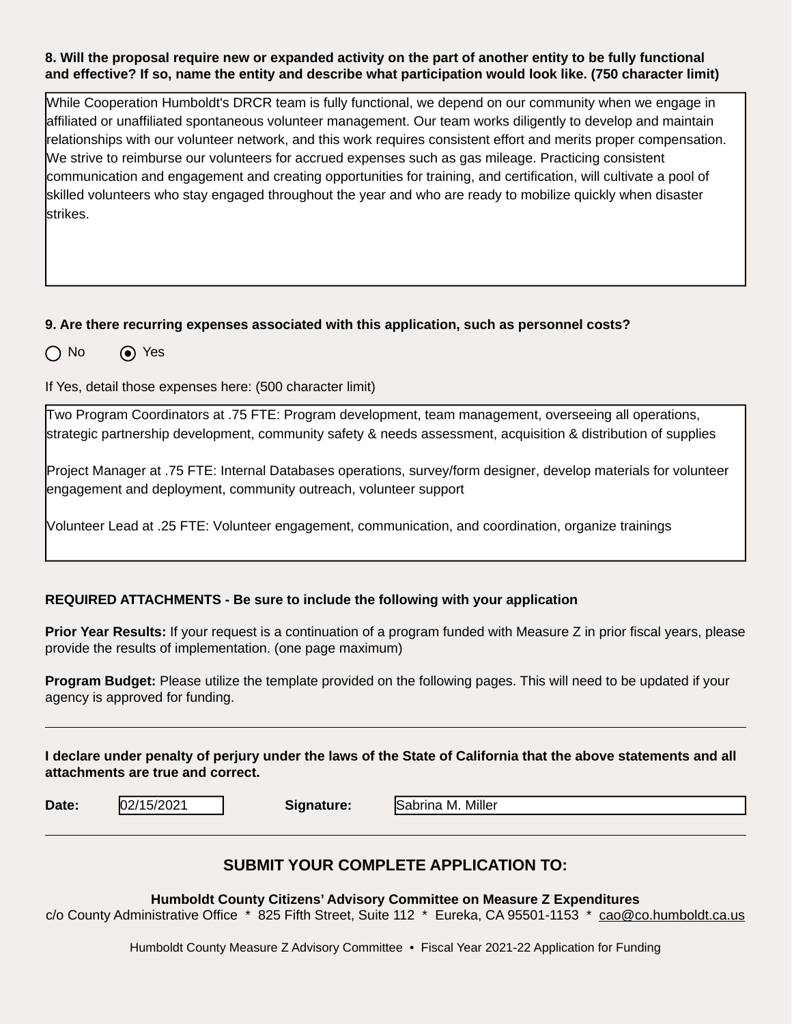#### **8. Will the proposal require new or expanded activity on the part of another entity to be fully functional and effective? If so, name the entity and describe what participation would look like. (750 character limit)**

While Cooperation Humboldt's DRCR team is fully functional, we depend on our community when we engage in affiliated or unaffiliated spontaneous volunteer management. Our team works diligently to develop and maintain relationships with our volunteer network, and this work requires consistent effort and merits proper compensation. We strive to reimburse our volunteers for accrued expenses such as gas mileage. Practicing consistent communication and engagement and creating opportunities for training, and certification, will cultivate a pool of skilled volunteers who stay engaged throughout the year and who are ready to mobilize quickly when disaster strikes.

#### **9. Are there recurring expenses associated with this application, such as personnel costs?**

 $\bigcap$  No  $\bigcirc$  Yes

If Yes, detail those expenses here: (500 character limit)

Two Program Coordinators at .75 FTE: Program development, team management, overseeing all operations, strategic partnership development, community safety & needs assessment, acquisition & distribution of supplies

Project Manager at .75 FTE: Internal Databases operations, survey/form designer, develop materials for volunteer engagement and deployment, community outreach, volunteer support

Volunteer Lead at .25 FTE: Volunteer engagement, communication, and coordination, organize trainings

#### **REQUIRED ATTACHMENTS - Be sure to include the following with your application**

**Prior Year Results:** If your request is a continuation of a program funded with Measure Z in prior fiscal years, please provide the results of implementation. (one page maximum)

**Program Budget:** Please utilize the template provided on the following pages. This will need to be updated if your agency is approved for funding.

**I declare under penalty of perjury under the laws of the State of California that the above statements and all attachments are true and correct.**

**Date:**  $\frac{1}{2}$  | **Signature: Signature:** 

Sabrina M. Miller

## **SUBMIT YOUR COMPLETE APPLICATION TO:**

**Humboldt County Citizens' Advisory Committee on Measure Z Expenditures** 

c/o County Administrative Office \* 825 Fifth Street, Suite 112 \* Eureka, CA 95501-1153 \* cao@co.humboldt.ca.us

Humboldt County Measure Z Advisory Committee • Fiscal Year 2021-22 Application for Funding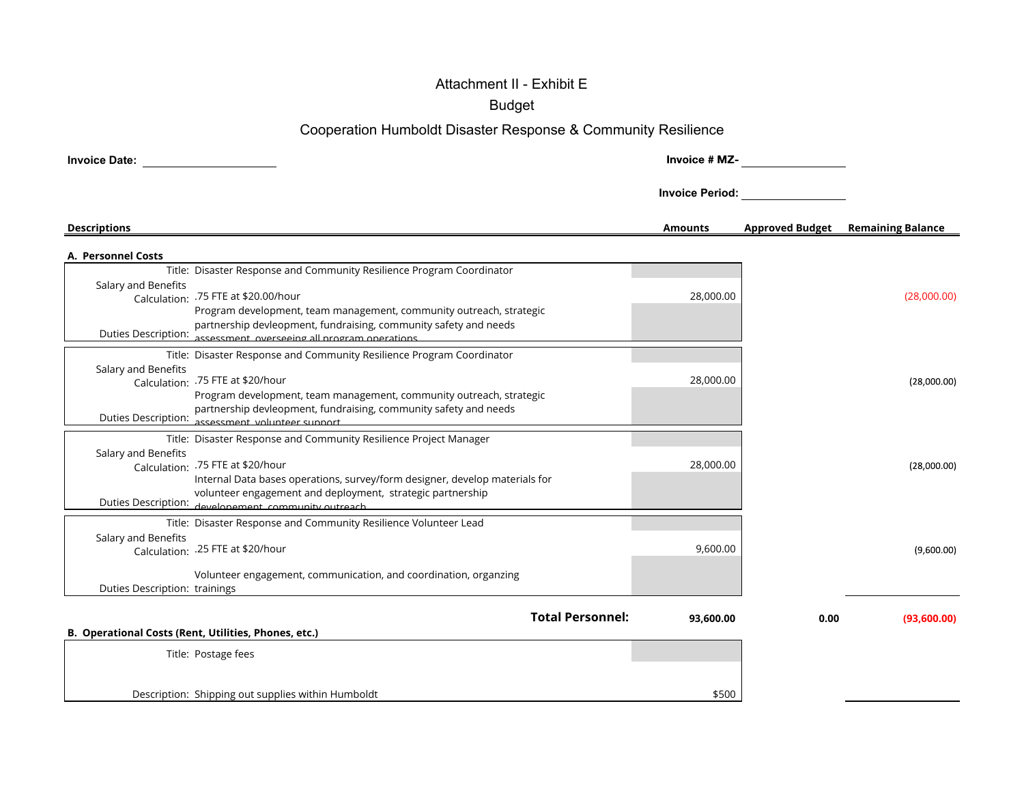# Attachment II - Exhibit E

Budget

# Cooperation Humboldt Disaster Response & Community Resilience

| <b>Invoice Date:</b>          |                                                                                                                                           | Invoice # MZ-          |                        |                          |
|-------------------------------|-------------------------------------------------------------------------------------------------------------------------------------------|------------------------|------------------------|--------------------------|
|                               |                                                                                                                                           | <b>Invoice Period:</b> |                        |                          |
| <b>Descriptions</b>           |                                                                                                                                           | <b>Amounts</b>         | <b>Approved Budget</b> | <b>Remaining Balance</b> |
| A. Personnel Costs            |                                                                                                                                           |                        |                        |                          |
|                               | Title: Disaster Response and Community Resilience Program Coordinator                                                                     |                        |                        |                          |
| Salary and Benefits           |                                                                                                                                           |                        |                        |                          |
|                               | Calculation: .75 FTE at \$20.00/hour                                                                                                      | 28,000.00              |                        | (28,000.00)              |
|                               | Program development, team management, community outreach, strategic                                                                       |                        |                        |                          |
|                               | partnership devleopment, fundraising, community safety and needs                                                                          |                        |                        |                          |
|                               | Duties Description: assessment overseeing all program operations.                                                                         |                        |                        |                          |
|                               | Title: Disaster Response and Community Resilience Program Coordinator                                                                     |                        |                        |                          |
| Salary and Benefits           |                                                                                                                                           |                        |                        |                          |
|                               | Calculation: .75 FTE at \$20/hour                                                                                                         | 28,000.00              |                        | (28,000.00)              |
|                               | Program development, team management, community outreach, strategic                                                                       |                        |                        |                          |
|                               | partnership devleopment, fundraising, community safety and needs<br>Duties Description: assessment volunteer sunnort                      |                        |                        |                          |
|                               |                                                                                                                                           |                        |                        |                          |
|                               | Title: Disaster Response and Community Resilience Project Manager                                                                         |                        |                        |                          |
| Salary and Benefits           |                                                                                                                                           |                        |                        |                          |
|                               | Calculation: .75 FTE at \$20/hour                                                                                                         | 28,000.00              |                        | (28,000.00)              |
|                               | Internal Data bases operations, survey/form designer, develop materials for<br>volunteer engagement and deployment, strategic partnership |                        |                        |                          |
|                               | Duties Description: developement community outreach                                                                                       |                        |                        |                          |
|                               |                                                                                                                                           |                        |                        |                          |
|                               | Title: Disaster Response and Community Resilience Volunteer Lead                                                                          |                        |                        |                          |
| Salary and Benefits           | Calculation: .25 FTE at \$20/hour                                                                                                         | 9,600.00               |                        | (9,600.00)               |
|                               |                                                                                                                                           |                        |                        |                          |
|                               | Volunteer engagement, communication, and coordination, organzing                                                                          |                        |                        |                          |
| Duties Description: trainings |                                                                                                                                           |                        |                        |                          |
|                               |                                                                                                                                           |                        |                        |                          |
|                               | <b>Total Personnel:</b>                                                                                                                   | 93.600.00              | 0.00                   | (93,600.00)              |
|                               | B. Operational Costs (Rent, Utilities, Phones, etc.)                                                                                      |                        |                        |                          |
|                               | Title: Postage fees                                                                                                                       |                        |                        |                          |
|                               |                                                                                                                                           |                        |                        |                          |
|                               |                                                                                                                                           |                        |                        |                          |
|                               | Description: Shipping out supplies within Humboldt                                                                                        | \$500                  |                        |                          |
|                               |                                                                                                                                           |                        |                        |                          |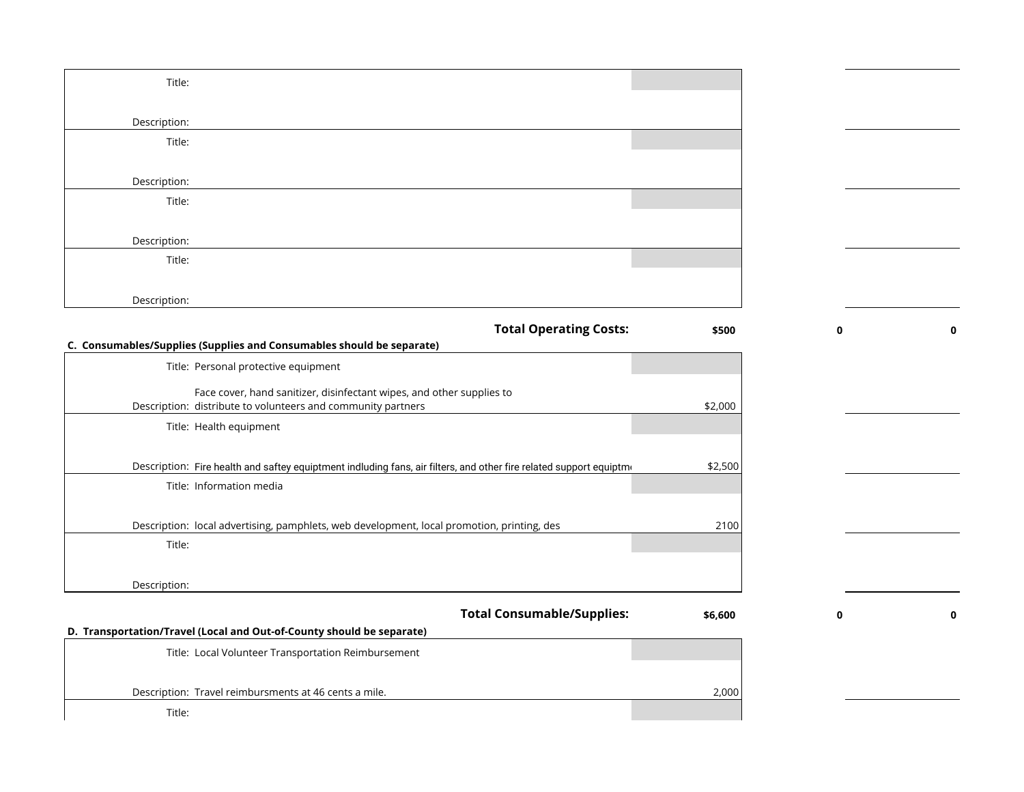| Title:                                                                                                              |         |   |  |
|---------------------------------------------------------------------------------------------------------------------|---------|---|--|
|                                                                                                                     |         |   |  |
| Description:                                                                                                        |         |   |  |
| Title:                                                                                                              |         |   |  |
| Description:                                                                                                        |         |   |  |
| Title:                                                                                                              |         |   |  |
|                                                                                                                     |         |   |  |
| Description:                                                                                                        |         |   |  |
| Title:                                                                                                              |         |   |  |
|                                                                                                                     |         |   |  |
| Description:                                                                                                        |         |   |  |
| <b>Total Operating Costs:</b>                                                                                       | \$500   |   |  |
| C. Consumables/Supplies (Supplies and Consumables should be separate)                                               |         |   |  |
| Title: Personal protective equipment                                                                                |         |   |  |
| Face cover, hand sanitizer, disinfectant wipes, and other supplies to                                               |         |   |  |
| Description: distribute to volunteers and community partners<br>Title: Health equipment                             | \$2,000 |   |  |
|                                                                                                                     |         |   |  |
| Description: Fire health and saftey equiptment indluding fans, air filters, and other fire related support equiptme | \$2,500 |   |  |
| Title: Information media                                                                                            |         |   |  |
|                                                                                                                     |         |   |  |
| Description: local advertising, pamphlets, web development, local promotion, printing, des                          | 2100    |   |  |
| Title:                                                                                                              |         |   |  |
| Description:                                                                                                        |         |   |  |
|                                                                                                                     |         |   |  |
| <b>Total Consumable/Supplies:</b><br>D. Transportation/Travel (Local and Out-of-County should be separate)          | \$6,600 | 0 |  |
| Title: Local Volunteer Transportation Reimbursement                                                                 |         |   |  |
|                                                                                                                     |         |   |  |
| Description: Travel reimbursments at 46 cents a mile.                                                               | 2,000   |   |  |
| Title:                                                                                                              |         |   |  |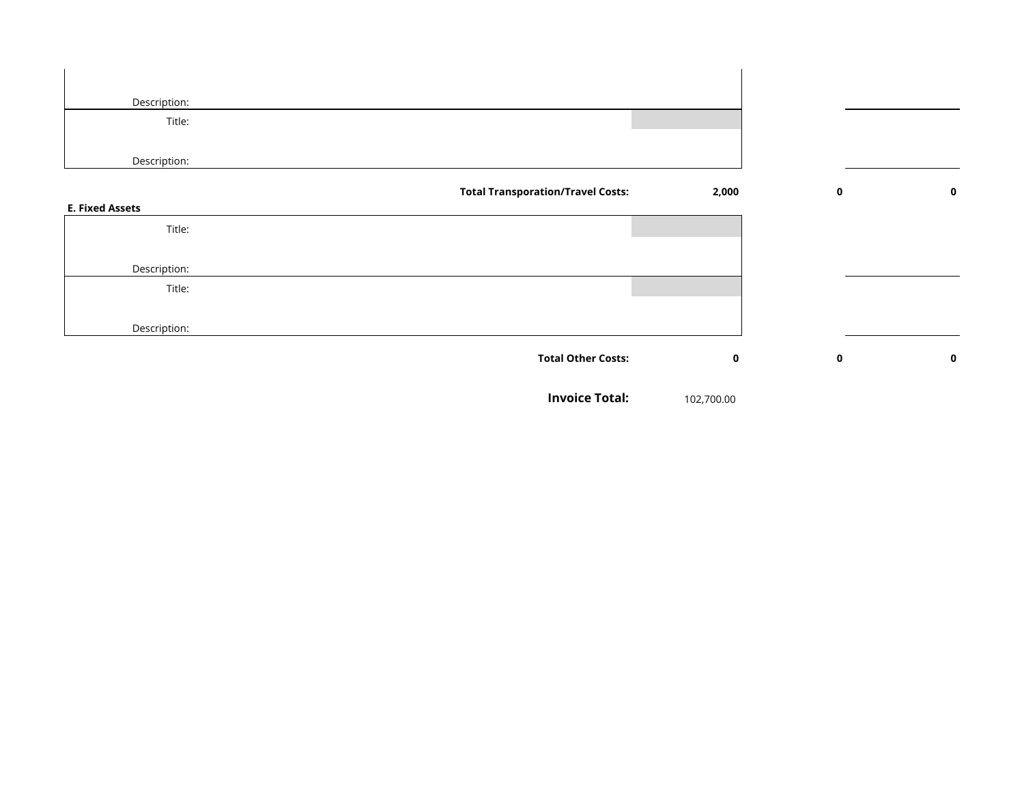| Description:                             |             |             |             |
|------------------------------------------|-------------|-------------|-------------|
| Title:                                   |             |             |             |
|                                          |             |             |             |
| Description:                             |             |             |             |
| <b>Total Transporation/Travel Costs:</b> | 2,000       | $\mathbf 0$ | $\mathbf 0$ |
| <b>E. Fixed Assets</b>                   |             |             |             |
| Title:                                   |             |             |             |
|                                          |             |             |             |
| Description:                             |             |             |             |
| Title:                                   |             |             |             |
|                                          |             |             |             |
| Description:                             |             |             |             |
| <b>Total Other Costs:</b>                | $\mathbf 0$ | $\mathbf 0$ | $\mathbf 0$ |
|                                          |             |             |             |
| <b>Invoice Total:</b>                    | 102,700.00  |             |             |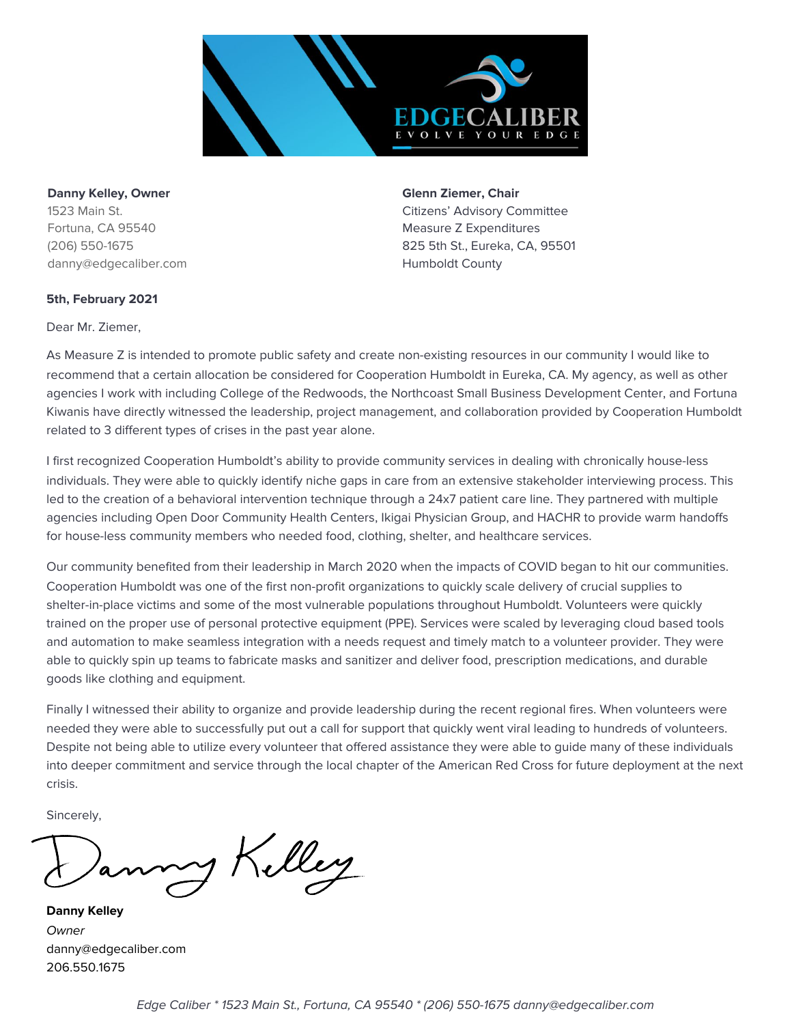

**Danny Kelley, Owner Glenna** *Ziemer,* **Chair** Fortuna, CA 95540 **Measure Z Expenditures** Measure Z Expenditures danny@edgecaliber.com entitled a state of the Humboldt County

1523 Main St. Citizens' Advisory Committee (206) 550-1675 825 5th St., Eureka, CA, 95501

#### **5th, February 2021**

Dear Mr. Ziemer,

As Measure Z is intended to promote public safety and create non-existing resources in our community I would like to recommend that a certain allocation be considered for Cooperation Humboldt in Eureka, CA. My agency, as well as other agencies I work with including College of the Redwoods, the Northcoast Small Business Development Center, and Fortuna Kiwanis have directly witnessed the leadership, project management, and collaboration provided by Cooperation Humboldt related to 3 different types of crises in the past year alone.

I first recognized Cooperation Humboldt's ability to provide community services in dealing with chronically house-less individuals. They were able to quickly identify niche gaps in care from an extensive stakeholder interviewing process. This led to the creation of a behavioral intervention technique through a 24x7 patient care line. They partnered with multiple agencies including Open Door Community Health Centers, Ikigai Physician Group, and HACHR to provide warm handoffs for house-less community members who needed food, clothing, shelter, and healthcare services.

Our community benefited from their leadership in March 2020 when the impacts of COVID began to hit our communities. Cooperation Humboldt was one of the first non-profit organizations to quickly scale delivery of crucial supplies to shelter-in-place victims and some of the most vulnerable populations throughout Humboldt. Volunteers were quickly trained on the proper use of personal protective equipment (PPE). Services were scaled by leveraging cloud based tools and automation to make seamless integration with a needs request and timely match to a volunteer provider. They were able to quickly spin up teams to fabricate masks and sanitizer and deliver food, prescription medications, and durable goods like clothing and equipment.

Finally I witnessed their ability to organize and provide leadership during the recent regional fires. When volunteers were needed they were able to successfully put out a call for support that quickly went viral leading to hundreds of volunteers. Despite not being able to utilize every volunteer that offered assistance they were able to guide many of these individuals into deeper commitment and service through the local chapter of the American Red Cross for future deployment at the next crisis.

Sincerely,

1 Killey

**Danny Kelley Owner** danny@edgecaliber.com 206.550.1675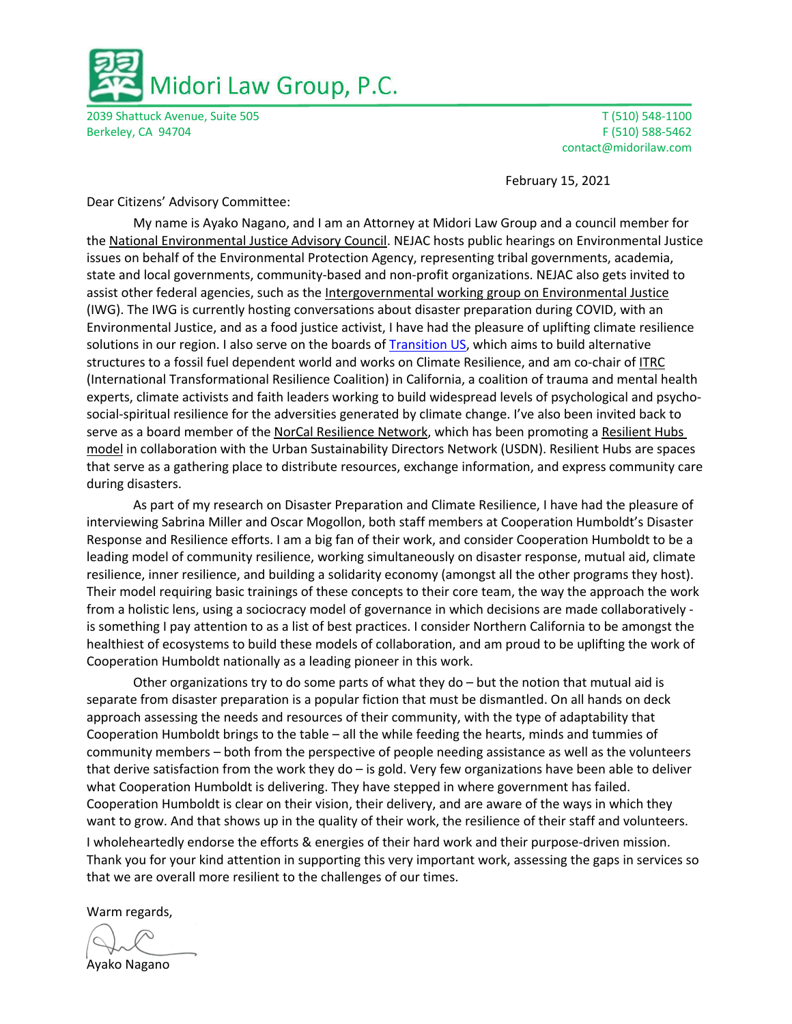

2039 Shattuck Avenue, Suite 505 T (510) 548-1100 Berkeley, CA 94704 F (510) 588-5462

contact@midorilaw.com

February 15, 2021

Dear Citizens' Advisory Committee:

My name is Ayako Nagano, and I am an Attorney at Midori Law Group and a council member for the National Environmental Justice Advisory Council. NEJAC hosts public hearings on Environmental Justice issues on behalf of the Environmental Protection Agency, representing tribal governments, academia, state and local governments, community-based and non-profit organizations. NEJAC also gets invited to assist other federal agencies, such as the Intergovernmental working group on Environmental Justice (IWG). The IWG is currently hosting conversations about disaster preparation during COVID, with an Environmental Justice, and as a food justice activist, I have had the pleasure of uplifting climate resilience solutions in our region. I also serve on the boards of Transition US, which aims to build alternative structures to a fossil fuel dependent world and works on Climate Resilience, and am co-chair of ITRC (International Transformational Resilience Coalition) in California, a coalition of trauma and mental health experts, climate activists and faith leaders working to build widespread levels of psychological and psychosocial-spiritual resilience for the adversities generated by climate change. I've also been invited back to serve as a board member of the NorCal Resilience Network, which has been promoting a Resilient Hubs model in collaboration with the Urban Sustainability Directors Network (USDN). Resilient Hubs are spaces that serve as a gathering place to distribute resources, exchange information, and express community care during disasters.

As part of my research on Disaster Preparation and Climate Resilience, I have had the pleasure of interviewing Sabrina Miller and Oscar Mogollon, both staff members at Cooperation Humboldt's Disaster Response and Resilience efforts. I am a big fan of their work, and consider Cooperation Humboldt to be a leading model of community resilience, working simultaneously on disaster response, mutual aid, climate resilience, inner resilience, and building a solidarity economy (amongst all the other programs they host). Their model requiring basic trainings of these concepts to their core team, the way the approach the work from a holistic lens, using a sociocracy model of governance in which decisions are made collaboratively is something I pay attention to as a list of best practices. I consider Northern California to be amongst the healthiest of ecosystems to build these models of collaboration, and am proud to be uplifting the work of Cooperation Humboldt nationally as a leading pioneer in this work.

Other organizations try to do some parts of what they do – but the notion that mutual aid is separate from disaster preparation is a popular fiction that must be dismantled. On all hands on deck approach assessing the needs and resources of their community, with the type of adaptability that Cooperation Humboldt brings to the table – all the while feeding the hearts, minds and tummies of community members – both from the perspective of people needing assistance as well as the volunteers that derive satisfaction from the work they do – is gold. Very few organizations have been able to deliver what Cooperation Humboldt is delivering. They have stepped in where government has failed. Cooperation Humboldt is clear on their vision, their delivery, and are aware of the ways in which they want to grow. And that shows up in the quality of their work, the resilience of their staff and volunteers.

I wholeheartedly endorse the efforts & energies of their hard work and their purpose-driven mission. Thank you for your kind attention in supporting this very important work, assessing the gaps in services so that we are overall more resilient to the challenges of our times.

Warm regards,

Ayako Nagano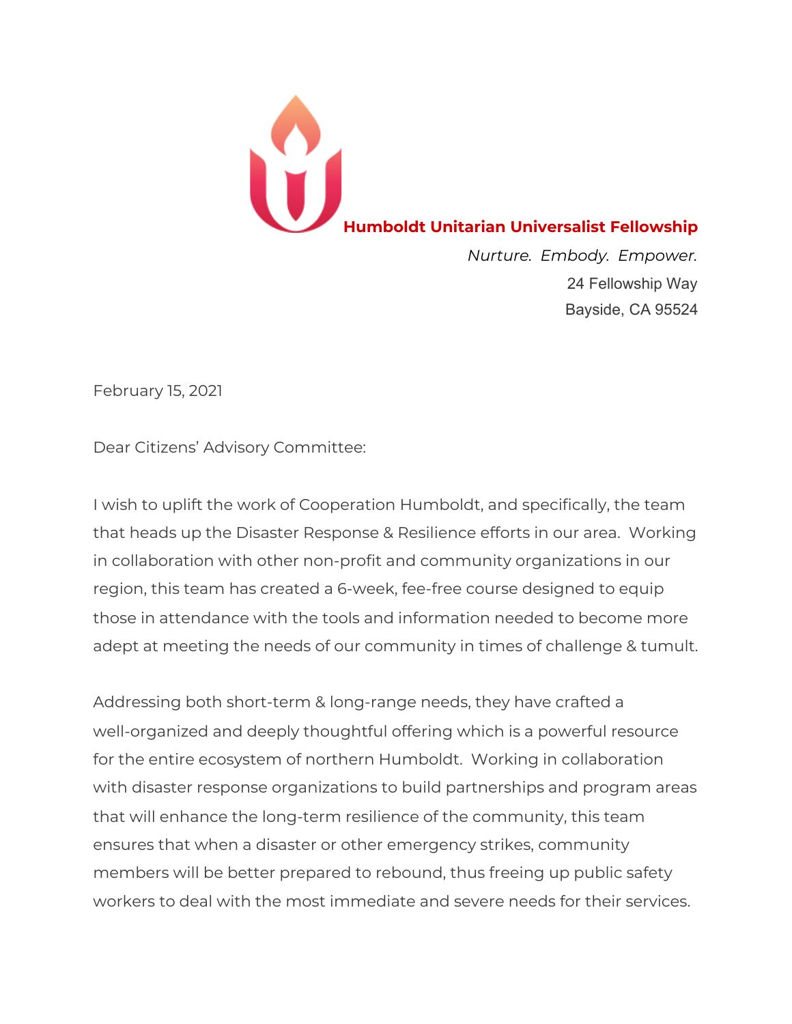

24 Fellowship Way Bayside, CA 95524

February 15, 2021

Dear Citizens' Advisory Committee:

I wish to uplift the work of Cooperation Humboldt, and specifically, the team that heads up the Disaster Response & Resilience efforts in our area. Working in collaboration with other non-profit and community organizations in our region, this team has created a 6-week, fee-free course designed to equip those in attendance with the tools and information needed to become more adept at meeting the needs of our community in times of challenge & tumult.

Addressing both short-term & long-range needs, they have crafted a well-organized and deeply thoughtful offering which is a powerful resource for the entire ecosystem of northern Humboldt. Working in collaboration with disaster response organizations to build partnerships and program areas that will enhance the long-term resilience of the community, this team ensures that when a disaster or other emergency strikes, community members will be better prepared to rebound, thus freeing up public safety workers to deal with the most immediate and severe needs for their services.